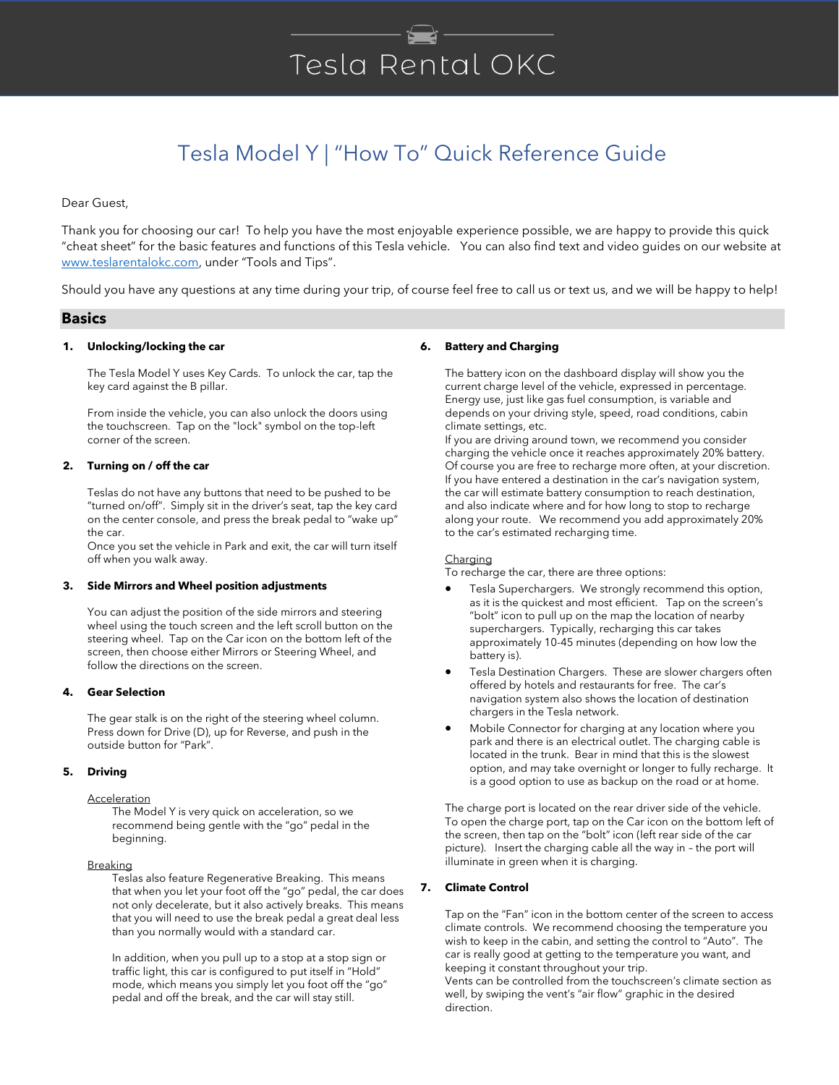# Tesla Rental OKC

# Tesla Model Y | "How To" Quick Reference Guide

Dear Guest,

Thank you for choosing our car! To help you have the most enjoyable experience possible, we are happy to provide this quick "cheat sheet" for the basic features and functions of this Tesla vehicle. You can also find text and video guides on our website at [www.teslarentalokc.com](http://www.teslarentalokc.com/), under "Tools and Tips".

Should you have any questions at any time during your trip, of course feel free to call us or text us, and we will be happy to help!

# **Basics**

# **1. Unlocking/locking the car**

The Tesla Model Y uses Key Cards. To unlock the car, tap the key card against the B pillar.

From inside the vehicle, you can also unlock the doors using the touchscreen. Tap on the "lock" symbol on the top-left corner of the screen.

# **2. Turning on / off the car**

Teslas do not have any buttons that need to be pushed to be "turned on/off". Simply sit in the driver's seat, tap the key card on the center console, and press the break pedal to "wake up" the car.

Once you set the vehicle in Park and exit, the car will turn itself off when you walk away.

# **3. Side Mirrors and Wheel position adjustments**

You can adjust the position of the side mirrors and steering wheel using the touch screen and the left scroll button on the steering wheel. Tap on the Car icon on the bottom left of the screen, then choose either Mirrors or Steering Wheel, and follow the directions on the screen.

# **4. Gear Selection**

The gear stalk is on the right of the steering wheel column. Press down for Drive (D), up for Reverse, and push in the outside button for "Park".

# **5. Driving**

# **Acceleration**

The Model Y is very quick on acceleration, so we recommend being gentle with the "go" pedal in the beginning.

### **Breaking**

Teslas also feature Regenerative Breaking. This means that when you let your foot off the "go" pedal, the car does not only decelerate, but it also actively breaks. This means that you will need to use the break pedal a great deal less than you normally would with a standard car.

In addition, when you pull up to a stop at a stop sign or traffic light, this car is configured to put itself in "Hold" mode, which means you simply let you foot off the "go" pedal and off the break, and the car will stay still.

# **6. Battery and Charging**

The battery icon on the dashboard display will show you the current charge level of the vehicle, expressed in percentage. Energy use, just like gas fuel consumption, is variable and depends on your driving style, speed, road conditions, cabin climate settings, etc.

If you are driving around town, we recommend you consider charging the vehicle once it reaches approximately 20% battery. Of course you are free to recharge more often, at your discretion. If you have entered a destination in the car's navigation system, the car will estimate battery consumption to reach destination, and also indicate where and for how long to stop to recharge along your route. We recommend you add approximately 20% to the car's estimated recharging time.

#### **Charging**

To recharge the car, there are three options:

- Tesla Superchargers. We strongly recommend this option, as it is the quickest and most efficient. Tap on the screen's "bolt" icon to pull up on the map the location of nearby superchargers. Typically, recharging this car takes approximately 10-45 minutes (depending on how low the battery is).
- Tesla Destination Chargers. These are slower chargers often offered by hotels and restaurants for free. The car's navigation system also shows the location of destination chargers in the Tesla network.
- Mobile Connector for charging at any location where you park and there is an electrical outlet. The charging cable is located in the trunk. Bear in mind that this is the slowest option, and may take overnight or longer to fully recharge. It is a good option to use as backup on the road or at home.

The charge port is located on the rear driver side of the vehicle. To open the charge port, tap on the Car icon on the bottom left of the screen, then tap on the "bolt" icon (left rear side of the car picture). Insert the charging cable all the way in – the port will illuminate in green when it is charging.

# **7. Climate Control**

Tap on the "Fan" icon in the bottom center of the screen to access climate controls. We recommend choosing the temperature you wish to keep in the cabin, and setting the control to "Auto". The car is really good at getting to the temperature you want, and keeping it constant throughout your trip.

Vents can be controlled from the touchscreen's climate section as well, by swiping the vent's "air flow" graphic in the desired direction.